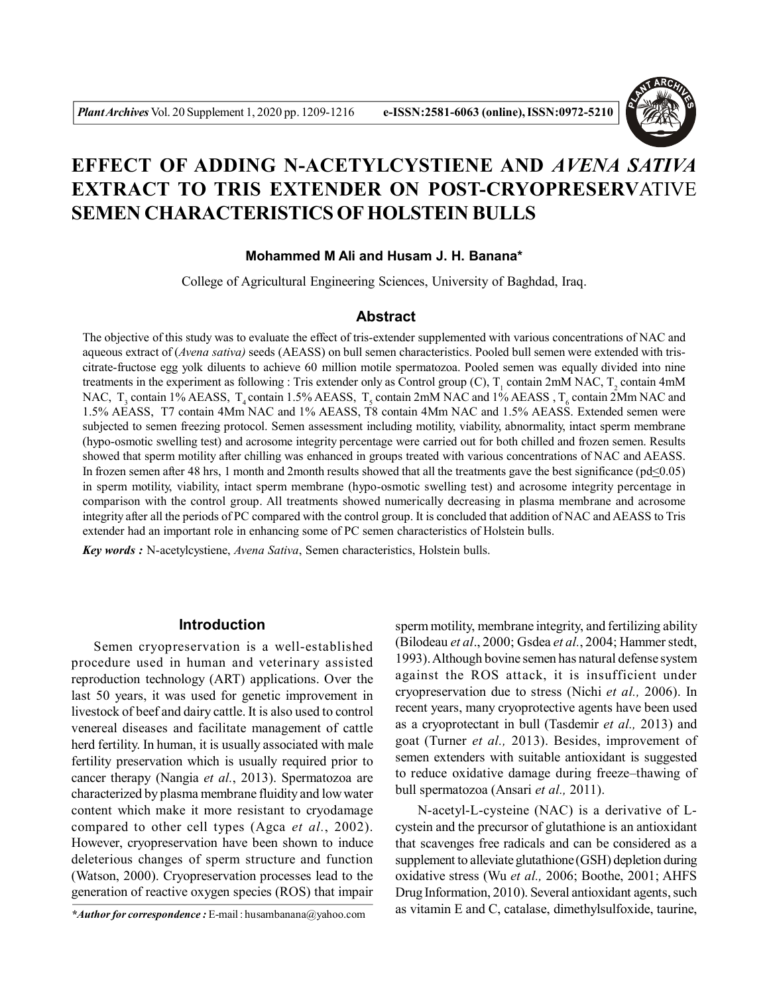

# **EFFECT OF ADDING N-ACETYLCYSTIENE AND** *AVENA SATIVA* **EXTRACT TO TRIS EXTENDER ON POST-CRYOPRESERV**ATIVE **SEMEN CHARACTERISTICS OF HOLSTEIN BULLS**

# **Mohammed M Ali and Husam J. H. Banana\***

College of Agricultural Engineering Sciences, University of Baghdad, Iraq.

# **Abstract**

The objective of this study was to evaluate the effect of tris-extender supplemented with various concentrations of NAC and aqueous extract of (*Avena sativa)* seeds (AEASS) on bull semen characteristics. Pooled bull semen were extended with triscitrate-fructose egg yolk diluents to achieve 60 million motile spermatozoa. Pooled semen was equally divided into nine treatments in the experiment as following : Tris extender only as Control group (C),  $T_1$  contain 2mM NAC,  $T_2$  contain 4mM NAC,  $T_3$  contain 1% AEASS,  $T_4$  contain 1.5% AEASS,  $T_5$  contain 2mM NAC and 1% AEASS ,  $T_6$  contain 2Mm NAC and 1.5% AEASS, T7 contain 4Mm NAC and 1% AEASS, T8 contain 4Mm NAC and 1.5% AEASS. Extended semen were subjected to semen freezing protocol. Semen assessment including motility, viability, abnormality, intact sperm membrane (hypo-osmotic swelling test) and acrosome integrity percentage were carried out for both chilled and frozen semen. Results showed that sperm motility after chilling was enhanced in groups treated with various concentrations of NAC and AEASS. In frozen semen after 48 hrs, 1 month and 2month results showed that all the treatments gave the best significance ( $pd \leq 0.05$ ) in sperm motility, viability, intact sperm membrane (hypo-osmotic swelling test) and acrosome integrity percentage in comparison with the control group. All treatments showed numerically decreasing in plasma membrane and acrosome integrity after all the periods of PC compared with the control group. It is concluded that addition of NAC and AEASS to Tris extender had an important role in enhancing some of PC semen characteristics of Holstein bulls.

*Key words :* N-acetylcystiene, *Avena Sativa*, Semen characteristics, Holstein bulls.

# **Introduction**

Semen cryopreservation is a well-established procedure used in human and veterinary assisted reproduction technology (ART) applications. Over the last 50 years, it was used for genetic improvement in livestock of beef and dairy cattle. It is also used to control venereal diseases and facilitate management of cattle herd fertility. In human, it is usually associated with male fertility preservation which is usually required prior to cancer therapy (Nangia *et al.*, 2013). Spermatozoa are characterized by plasma membrane fluidity and low water content which make it more resistant to cryodamage compared to other cell types (Agca *et al.*, 2002). However, cryopreservation have been shown to induce deleterious changes of sperm structure and function (Watson, 2000). Cryopreservation processes lead to the generation of reactive oxygen species (ROS) that impair

sperm motility, membrane integrity, and fertilizing ability (Bilodeau *et al*., 2000; Gsdea *et al.*, 2004; Hammer stedt, 1993). Although bovine semen has natural defense system against the ROS attack, it is insufficient under cryopreservation due to stress (Nichi *et al.,* 2006). In recent years, many cryoprotective agents have been used as a cryoprotectant in bull (Tasdemir *et al.,* 2013) and goat (Turner *et al.,* 2013). Besides, improvement of semen extenders with suitable antioxidant is suggested to reduce oxidative damage during freeze–thawing of bull spermatozoa (Ansari *et al.,* 2011).

N-acetyl-L-cysteine (NAC) is a derivative of Lcystein and the precursor of glutathione is an antioxidant that scavenges free radicals and can be considered as a supplement to alleviate glutathione (GSH) depletion during oxidative stress (Wu *et al.,* 2006; Boothe, 2001; AHFS Drug Information, 2010). Several antioxidant agents, such as vitamin E and C, catalase, dimethylsulfoxide, taurine,

*<sup>\*</sup>Author for correspondence :* E-mail : husambanana@yahoo.com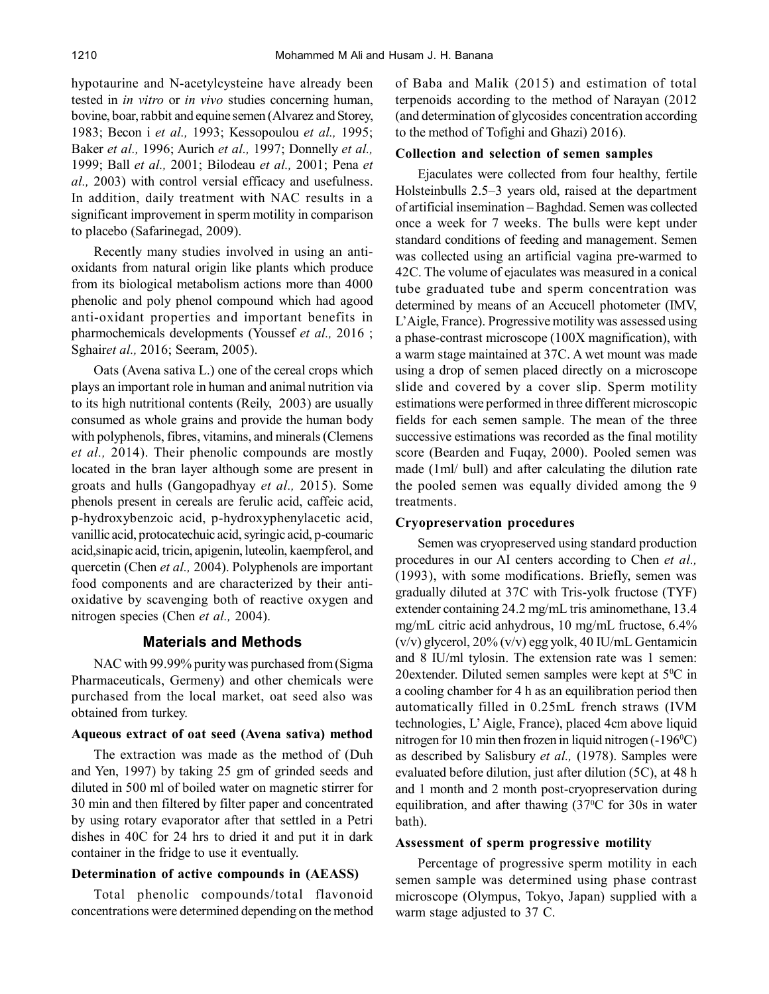hypotaurine and N-acetylcysteine have already been tested in *in vitro* or *in vivo* studies concerning human, bovine, boar, rabbit and equine semen (Alvarez and Storey, 1983; Becon i *et al.,* 1993; Kessopoulou *et al.,* 1995; Baker *et al.,* 1996; Aurich *et al.,* 1997; Donnelly *et al.,* 1999; Ball *et al.,* 2001; Bilodeau *et al.,* 2001; Pena *et al.,* 2003) with control versial efficacy and usefulness. In addition, daily treatment with NAC results in a significant improvement in sperm motility in comparison to placebo (Safarinegad, 2009).

Recently many studies involved in using an antioxidants from natural origin like plants which produce from its biological metabolism actions more than 4000 phenolic and poly phenol compound which had agood anti-oxidant properties and important benefits in pharmochemicals developments (Youssef *et al.,* 2016 ; Sghair*et al.,* 2016; Seeram, 2005).

Oats (Avena sativa L.) one of the cereal crops which plays an important role in human and animal nutrition via to its high nutritional contents (Reily, 2003) are usually consumed as whole grains and provide the human body with polyphenols, fibres, vitamins, and minerals (Clemens *et al.,* 2014). Their phenolic compounds are mostly located in the bran layer although some are present in groats and hulls (Gangopadhyay *et al.,* 2015). Some phenols present in cereals are ferulic acid, caffeic acid, p-hydroxybenzoic acid, p-hydroxyphenylacetic acid, vanillic acid, protocatechuic acid, syringic acid, p-coumaric acid,sinapic acid, tricin, apigenin, luteolin, kaempferol, and quercetin (Chen *et al.,* 2004). Polyphenols are important food components and are characterized by their antioxidative by scavenging both of reactive oxygen and nitrogen species (Chen *et al.,* 2004).

# **Materials and Methods**

NAC with 99.99% purity was purchased from (Sigma Pharmaceuticals, Germeny) and other chemicals were purchased from the local market, oat seed also was obtained from turkey.

# **Aqueous extract of oat seed (Avena sativa) method**

The extraction was made as the method of (Duh and Yen, 1997) by taking 25 gm of grinded seeds and diluted in 500 ml of boiled water on magnetic stirrer for 30 min and then filtered by filter paper and concentrated by using rotary evaporator after that settled in a Petri dishes in 40C for 24 hrs to dried it and put it in dark container in the fridge to use it eventually.

#### **Determination of active compounds in (AEASS)**

Total phenolic compounds/total flavonoid concentrations were determined depending on the method of Baba and Malik (2015) and estimation of total terpenoids according to the method of Narayan (2012 (and determination of glycosides concentration according to the method of Tofighi and Ghazi) 2016).

#### **Collection and selection of semen samples**

Ejaculates were collected from four healthy, fertile Holsteinbulls 2.5–3 years old, raised at the department of artificial insemination – Baghdad. Semen was collected once a week for 7 weeks. The bulls were kept under standard conditions of feeding and management. Semen was collected using an artificial vagina pre-warmed to 42C. The volume of ejaculates was measured in a conical tube graduated tube and sperm concentration was determined by means of an Accucell photometer (IMV, L'Aigle, France). Progressive motility was assessed using a phase-contrast microscope (100X magnification), with a warm stage maintained at 37C. A wet mount was made using a drop of semen placed directly on a microscope slide and covered by a cover slip. Sperm motility estimations were performed in three different microscopic fields for each semen sample. The mean of the three successive estimations was recorded as the final motility score (Bearden and Fuqay, 2000). Pooled semen was made (1ml/ bull) and after calculating the dilution rate the pooled semen was equally divided among the 9 treatments.

# **Cryopreservation procedures**

Semen was cryopreserved using standard production procedures in our AI centers according to Chen *et al.,* (1993), with some modifications. Briefly, semen was gradually diluted at 37C with Tris-yolk fructose (TYF) extender containing 24.2 mg/mL tris aminomethane, 13.4 mg/mL citric acid anhydrous, 10 mg/mL fructose, 6.4% (v/v) glycerol, 20% (v/v) egg yolk, 40 IU/mL Gentamicin and 8 IU/ml tylosin. The extension rate was 1 semen: 20extender. Diluted semen samples were kept at  $5^{\circ}$ C in a cooling chamber for 4 h as an equilibration period then automatically filled in 0.25mL french straws (IVM technologies, L' Aigle, France), placed 4cm above liquid nitrogen for 10 min then frozen in liquid nitrogen  $(-196^{\circ}C)$ as described by Salisbury *et al.,* (1978). Samples were evaluated before dilution, just after dilution (5C), at 48 h and 1 month and 2 month post-cryopreservation during equilibration, and after thawing (37<sup>0</sup>C for 30s in water bath).

# **Assessment of sperm progressive motility**

Percentage of progressive sperm motility in each semen sample was determined using phase contrast microscope (Olympus, Tokyo, Japan) supplied with a warm stage adjusted to 37 C.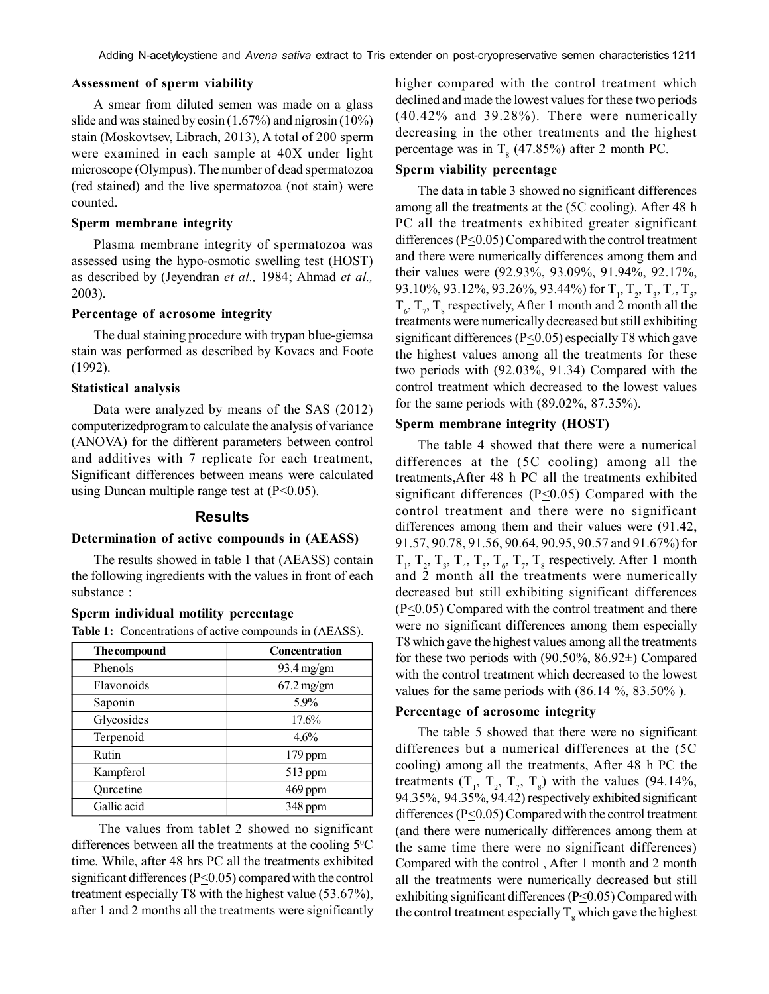#### **Assessment of sperm viability**

A smear from diluted semen was made on a glass slide and was stained by eosin (1.67%) and nigrosin (10%) stain (Moskovtsev, Librach, 2013), A total of 200 sperm were examined in each sample at 40X under light microscope (Olympus). The number of dead spermatozoa (red stained) and the live spermatozoa (not stain) were counted.

#### **Sperm membrane integrity**

Plasma membrane integrity of spermatozoa was assessed using the hypo-osmotic swelling test (HOST) as described by (Jeyendran *et al.,* 1984; Ahmad *et al.,* 2003).

#### **Percentage of acrosome integrity**

The dual staining procedure with trypan blue-giemsa stain was performed as described by Kovacs and Foote (1992).

# **Statistical analysis**

Data were analyzed by means of the SAS (2012) computerizedprogram to calculate the analysis of variance (ANOVA) for the different parameters between control and additives with 7 replicate for each treatment, Significant differences between means were calculated using Duncan multiple range test at  $(P<0.05)$ .

# **Results**

#### **Determination of active compounds in (AEASS)**

The results showed in table 1 that (AEASS) contain the following ingredients with the values in front of each substance :

# **Sperm individual motility percentage**

**Table 1:** Concentrations of active compounds in (AEASS).

| The compound | <b>Concentration</b> |
|--------------|----------------------|
| Phenols      | 93.4 mg/gm           |
| Flavonoids   | $67.2 \text{ mg/gm}$ |
| Saponin      | 5.9%                 |
| Glycosides   | 17.6%                |
| Terpenoid    | $4.6\%$              |
| Rutin        | $179$ ppm            |
| Kampferol    | 513 ppm              |
| Qurcetine    | $469$ ppm            |
| Gallic acid  | 348 ppm              |

 The values from tablet 2 showed no significant differences between all the treatments at the cooling  $5^{\circ}$ C time. While, after 48 hrs PC all the treatments exhibited significant differences ( $P \le 0.05$ ) compared with the control treatment especially T8 with the highest value (53.67%), after 1 and 2 months all the treatments were significantly higher compared with the control treatment which declined and made the lowest values for these two periods (40.42% and 39.28%). There were numerically decreasing in the other treatments and the highest percentage was in  $T_8$  (47.85%) after 2 month PC.

# **Sperm viability percentage**

The data in table 3 showed no significant differences among all the treatments at the (5C cooling). After 48 h PC all the treatments exhibited greater significant differences ( $P \le 0.05$ ) Compared with the control treatment and there were numerically differences among them and their values were (92.93%, 93.09%, 91.94%, 92.17%, 93.10%, 93.12%, 93.26%, 93.44%) for  $T_1$ ,  $T_2$ ,  $T_3$ ,  $T_4$ ,  $T_5$ ,  $T_{6}$ ,  $T_{7}$ ,  $T_{8}$  respectively, After 1 month and 2 month all the treatments were numerically decreased but still exhibiting significant differences ( $P \le 0.05$ ) especially T8 which gave the highest values among all the treatments for these two periods with (92.03%, 91.34) Compared with the control treatment which decreased to the lowest values for the same periods with (89.02%, 87.35%).

#### **Sperm membrane integrity (HOST)**

The table 4 showed that there were a numerical differences at the (5C cooling) among all the treatments,After 48 h PC all the treatments exhibited significant differences ( $P \le 0.05$ ) Compared with the control treatment and there were no significant differences among them and their values were (91.42, 91.57, 90.78, 91.56, 90.64, 90.95, 90.57 and 91.67%) for  $T_1$ ,  $T_2$ ,  $T_3$ ,  $T_4$ ,  $T_5$ ,  $T_6$ ,  $T_7$ ,  $T_8$  respectively. After 1 month and 2 month all the treatments were numerically decreased but still exhibiting significant differences (P<0.05) Compared with the control treatment and there were no significant differences among them especially T8 which gave the highest values among all the treatments for these two periods with  $(90.50\%, 86.92\pm)$  Compared with the control treatment which decreased to the lowest values for the same periods with (86.14 %, 83.50% ).

## **Percentage of acrosome integrity**

The table 5 showed that there were no significant differences but a numerical differences at the (5C cooling) among all the treatments, After 48 h PC the treatments  $(T_1, T_2, T_7, T_8)$  with the values (94.14%, 94.35%, 94.35%, 94.42) respectively exhibited significant differences ( $P \le 0.05$ ) Compared with the control treatment (and there were numerically differences among them at the same time there were no significant differences) Compared with the control , After 1 month and 2 month all the treatments were numerically decreased but still exhibiting significant differences ( $P \le 0.05$ ) Compared with the control treatment especially  $T_{\rm g}$  which gave the highest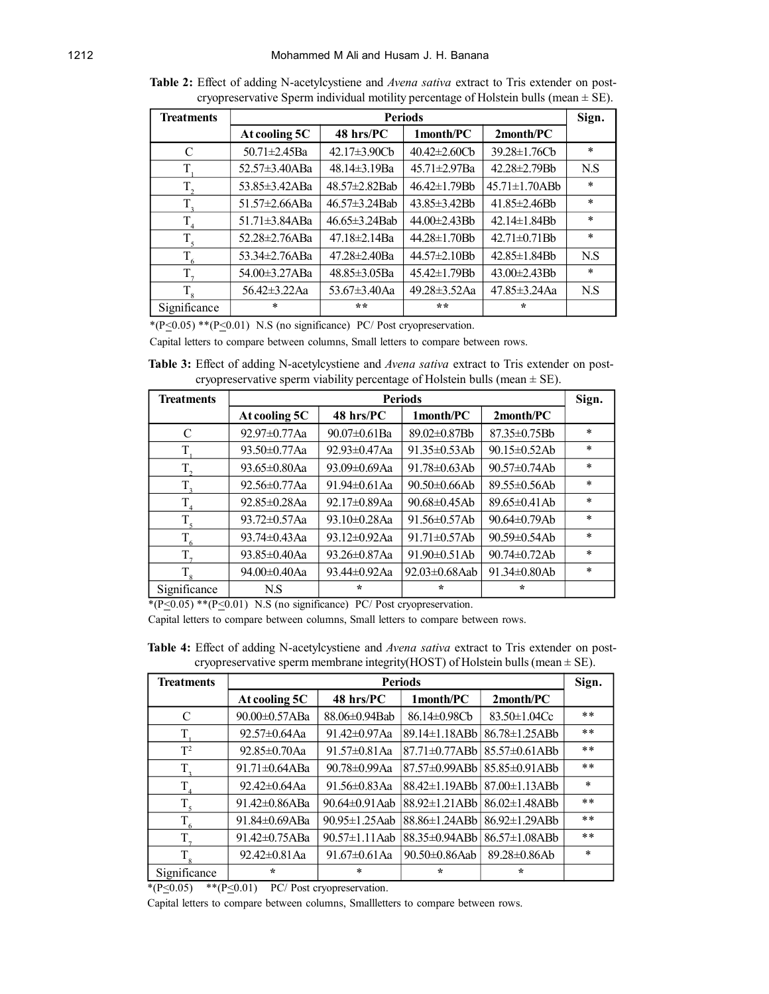| <b>Treatments</b> | <b>Periods</b>       |                     |                     |                      | Sign.  |
|-------------------|----------------------|---------------------|---------------------|----------------------|--------|
|                   | At cooling 5C        | 48 hrs/PC           | 1month/PC           | 2month/PC            |        |
| C                 | 50.71±2.45Ba         | 42.17±3.90Cb        | 40.42±2.60Cb        | 39.28±1.76Cb         | $\ast$ |
| T                 | $52.57 \pm 3.40$ ABa | 48.14±3.19Ba        | 45.71±2.97Ba        | 42.28±2.79Bb         | N.S    |
| $T_{2}$           | 53.85±3.42ABa        | 48.57±2.82Bab       | 46.42±1.79Bb        | $45.71 \pm 1.70$ ABb | $\ast$ |
| $T_{\rm a}$       | 51.57±2.66ABa        | 46.57±3.24Bab       | 43.85±3.42Bb        | 41.85±2.46Bb         | $\ast$ |
| $T_{4}$           | $51.71 \pm 3.84$ ABa | 46.65±3.24Bab       | 44.00±2.43Bb        | $42.14 \pm 1.84$ Bb  | $\ast$ |
| T <sub>5</sub>    | 52.28±2.76ABa        | 47.18±2.14Ba        | 44.28±1.70Bb        | $42.71 \pm 0.71$ Bb  | $\ast$ |
| $T_{6}$           | 53.34±2.76ABa        | $47.28 \pm 2.40$ Ba | $44.57 \pm 2.10$ Bh | $42.85 \pm 1.84$ Bh  | N.S    |
| $T_{7}$           | 54.00±3.27ABa        | $48.85 \pm 3.05$ Ba | 45.42±1.79Bb        | $43.00 \pm 2.43$ Bb  | *      |
| $T_{8}$           | 56.42±3.22Aa         | 53.67 $\pm$ 3.40Aa  | 49.28±3.52Aa        | $47.85 \pm 3.24$ Aa  | N.S    |
| Significance      | $\ast$               | **                  | $* *$               | $\star$              |        |

**Table 2:** Effect of adding N-acetylcystiene and *Avena sativa* extract to Tris extender on postcryopreservative Sperm individual motility percentage of Holstein bulls (mean  $\pm$  SE).

\*( $P \le 0.05$ ) \*\*( $P \le 0.01$ ) N.S (no significance) PC/Post cryopreservation.

Capital letters to compare between columns, Small letters to compare between rows.

**Table 3:** Effect of adding N-acetylcystiene and *Avena sativa* extract to Tris extender on postcryopreservative sperm viability percentage of Holstein bulls (mean  $\pm$  SE).

| <b>Treatments</b> | <b>Periods</b>      |                     |                     |                     |         |
|-------------------|---------------------|---------------------|---------------------|---------------------|---------|
|                   | At cooling 5C       | 48 hrs/PC           | 1month/PC           | 2month/PC           |         |
| $\mathcal{C}$     | $92.97 \pm 0.77$ Aa | $90.07 \pm 0.61$ Ba | 89.02±0.87Bb        | $87.35 \pm 0.75$ Bb | $\star$ |
| Т                 | $93.50 \pm 0.77$ Aa | 92.93±0.47Aa        | $91.35 \pm 0.53$ Ab | 90.15±0.52Ab        | $\ast$  |
| T,                | 93.65±0.80Aa        | 93.09±0.69Aa        | 91.78±0.63Ab        | 90.57±0.74Ab        | $\ast$  |
| $T_{\rm a}$       | $92.56 \pm 0.77$ Aa | 91.94±0.61Aa        | 90.50±0.66Ab        | 89.55±0.56Ab        | $\ast$  |
| $T_{4}$           | $92.85 \pm 0.28$ Aa | 92.17±0.89Aa        | $90.68 \pm 0.45$ Ab | $89.65 \pm 0.41$ Ab | $\ast$  |
| $T_{5}$           | $93.72 \pm 0.57$ Aa | $93.10 \pm 0.28$ Aa | $91.56 \pm 0.57$ Ab | $90.64 \pm 0.79$ Ab | $\ast$  |
| $T_{6}$           | 93.74 $\pm$ 0.43Aa  | $93.12 \pm 0.92$ Aa | $91.71 \pm 0.57$ Ab | $90.59 \pm 0.54$ Ab | $\ast$  |
| $T_{\tau}$        | 93.85 $\pm$ 0.40Aa  | 93.26±0.87Aa        | 91.90±0.51Ab        | 90.74±0.72Ab        | $\ast$  |
| $T_{8}$           | 94.00±0.40Aa        | 93.44±0.92Aa        | 92.03±0.68Aab       | $91.34\pm0.80Ab$    | $\ast$  |
| Significance      | N.S                 | ÷                   | $\star$             | $\star$             |         |

 $*(P \le 0.05)$  \*\* $(P \le 0.01)$  N.S (no significance) PC/ Post cryopreservation.

Capital letters to compare between columns, Small letters to compare between rows.

| Table 4: Effect of adding N-acetylcystiene and Avena sativa extract to Tris extender on post- |  |  |  |  |
|-----------------------------------------------------------------------------------------------|--|--|--|--|
| cryopreservative sperm membrane integrity (HOST) of Holstein bulls (mean $\pm$ SE).           |  |  |  |  |

| <b>Treatments</b> | <b>Periods</b>      |                      |                               |                                                                      |        |
|-------------------|---------------------|----------------------|-------------------------------|----------------------------------------------------------------------|--------|
|                   | At cooling 5C       | 48 hrs/PC            | 1month/PC                     | 2month/PC                                                            |        |
| C                 | 90.00±0.57ABa       | 88.06±0.94Bab        | 86.14±0.98Cb                  | $83.50 \pm 1.04$ Cc                                                  | $* *$  |
| T                 | $92.57 \pm 0.64$ Aa | 91.42±0.97Aa         | 89.14±1.18ABb                 | 86.78±1.25ABb                                                        | $* *$  |
| $T^2$             | $92.85 \pm 0.70$ Aa | 91.57±0.81Aa         |                               | $\left  87.71 \pm 0.77 \text{ABb} \right  85.57 \pm 0.61 \text{ABb}$ | $* *$  |
| $T_{\rm a}$       | 91.71±0.64ABa       | 90.78±0.99Aa         | 87.57±0.99ABb   85.85±0.91ABb |                                                                      | $***$  |
| $T_{\rm A}$       | $92.42 \pm 0.64$ Aa | 91.56±0.83Aa         |                               | $88.42 \pm 1.19$ ABb $87.00 \pm 1.13$ ABb                            | $\ast$ |
| $T_{5}$           | 91.42±0.86ABa       | 90.64±0.91Aab        | 88.92±1.21ABb 86.02±1.48ABb   |                                                                      | $* *$  |
| $T_{6}$           | 91.84±0.69ABa       | $90.95 \pm 1.25$ Aab | 88.86±1.24ABb                 | $86.92 \pm 1.29$ ABb                                                 | $* *$  |
| $T_{\tau}$        | 91.42±0.75ABa       | $90.57 \pm 1.11$ Aab | 88.35±0.94ABb                 | $86.57 \pm 1.08$ ABb                                                 | $* *$  |
| $T_{\rm g}$       | $92.42 \pm 0.81$ Aa | 91.67 $\pm$ 0.61Aa   | $90.50 \pm 0.86$ Aab          | $89.28 \pm 0.86$ Ab                                                  | $\ast$ |
| Significance      | ÷                   | $\star$              | $\star$                       | $\star$                                                              |        |

 $*(P \le 0.05)$  \*\* $(P \le 0.01)$  PC/ Post cryopreservation.

Capital letters to compare between columns, Smallletters to compare between rows.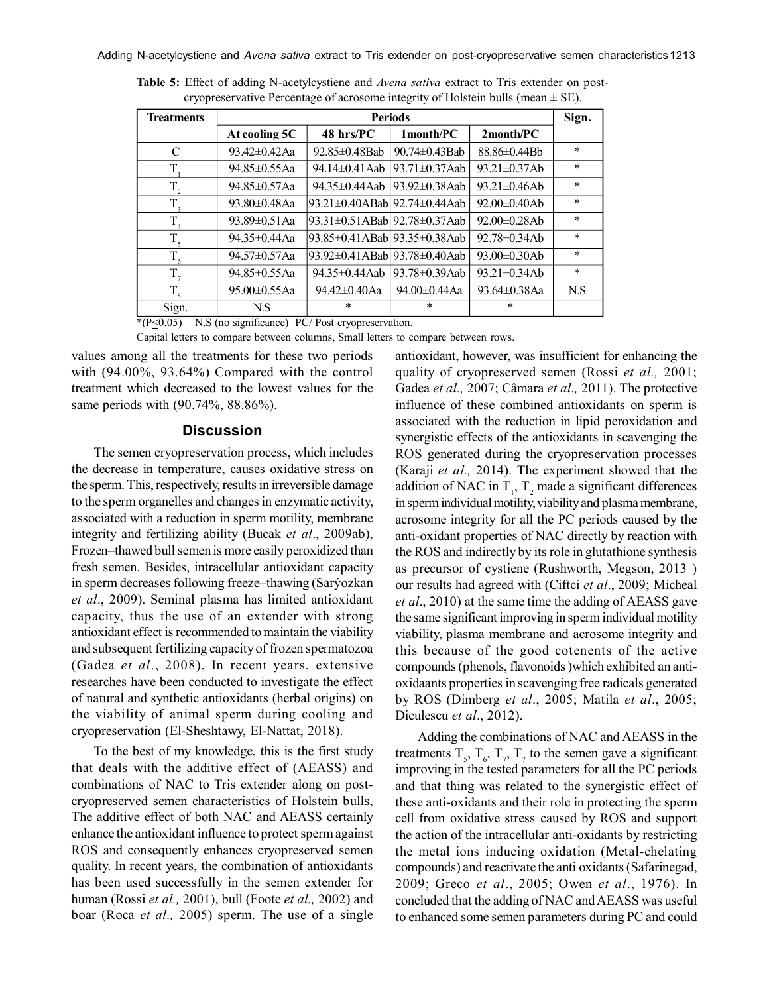| <b>Treatments</b> | <b>Periods</b>      |                              |                      |                     | Sign.  |
|-------------------|---------------------|------------------------------|----------------------|---------------------|--------|
|                   | At cooling 5C       | 48 hrs/PC                    | 1month/PC            | 2month/PC           |        |
| C                 | 93.42±0.42Aa        | 92.85±0.48Bab                | $90.74 \pm 0.43$ Bab | 88.86±0.44Bb        | $\ast$ |
| T                 | 94.85±0.55Aa        | 94.14±0.41 Aab               | 93.71±0.37Aab        | 93.21±0.37Ab        | $\ast$ |
| $T_{2}$           | 94.85±0.57Aa        | 94.35±0.44Aab                | 93.92±0.38Aab        | $93.21 \pm 0.46$ Ab | $\ast$ |
| $T_{\rm a}$       | 93.80±0.48Aa        | 93.21±0.40ABab 92.74±0.44Aab |                      | 92.00±0.40Ab        | $\ast$ |
| T <sub>4</sub>    | 93.89±0.51Aa        | 93.31±0.51ABab 92.78±0.37Aab |                      | $92.00 \pm 0.28$ Ab | $\ast$ |
| $T_{5}$           | 94.35±0.44Aa        | 93.85±0.41ABab 93.35±0.38Aab |                      | $92.78 \pm 0.34$ Ab | $\ast$ |
| $T_{6}$           | 94.57±0.57Aa        | 93.92±0.41ABab 93.78±0.40Aab |                      | 93.00±0.30Ab        | $\ast$ |
| T.                | 94.85±0.55Aa        | 94.35±0.44Aab                | 93.78±0.39Aab        | 93.21±0.34Ab        | $\ast$ |
| $T_{8}$           | $95.00 \pm 0.55$ Aa | 94.42±0.40Aa                 | 94.00±0.44Aa         | $93.64 \pm 0.38$ Aa | N.S    |
| Sign.             | N.S                 | $\star$                      | $\ast$               | $\ast$              |        |

**Table 5:** Effect of adding N-acetylcystiene and *Avena sativa* extract to Tris extender on postcryopreservative Percentage of acrosome integrity of Holstein bulls (mean  $\pm$  SE).

\*( $P \le 0.05$ ) N.S (no significance) PC/ Post cryopreservation.

Capital letters to compare between columns, Small letters to compare between rows.

values among all the treatments for these two periods with (94.00%, 93.64%) Compared with the control treatment which decreased to the lowest values for the same periods with (90.74%, 88.86%).

## **Discussion**

The semen cryopreservation process, which includes the decrease in temperature, causes oxidative stress on the sperm. This, respectively, results in irreversible damage to the sperm organelles and changes in enzymatic activity, associated with a reduction in sperm motility, membrane integrity and fertilizing ability (Bucak *et al*., 2009ab), Frozen–thawed bull semen is more easily peroxidized than fresh semen. Besides, intracellular antioxidant capacity in sperm decreases following freeze–thawing (Sarýozkan *et al*., 2009). Seminal plasma has limited antioxidant capacity, thus the use of an extender with strong antioxidant effect is recommended to maintain the viability and subsequent fertilizing capacity of frozen spermatozoa (Gadea *et al*., 2008), In recent years, extensive researches have been conducted to investigate the effect of natural and synthetic antioxidants (herbal origins) on the viability of animal sperm during cooling and cryopreservation (El-Sheshtawy, El-Nattat, 2018).

To the best of my knowledge, this is the first study that deals with the additive effect of (AEASS) and combinations of NAC to Tris extender along on postcryopreserved semen characteristics of Holstein bulls, The additive effect of both NAC and AEASS certainly enhance the antioxidant influence to protect sperm against ROS and consequently enhances cryopreserved semen quality. In recent years, the combination of antioxidants has been used successfully in the semen extender for human (Rossi *et al.,* 2001), bull (Foote *et al.,* 2002) and boar (Roca *et al.,* 2005) sperm. The use of a single antioxidant, however, was insufficient for enhancing the quality of cryopreserved semen (Rossi *et al.,* 2001; Gadea *et al.,* 2007; Câmara *et al.,* 2011). The protective influence of these combined antioxidants on sperm is associated with the reduction in lipid peroxidation and synergistic effects of the antioxidants in scavenging the ROS generated during the cryopreservation processes (Karaji *et al.,* 2014). The experiment showed that the addition of NAC in  $T_1$ ,  $T_2$  made a significant differences in sperm individual motility, viability and plasma membrane, acrosome integrity for all the PC periods caused by the anti-oxidant properties of NAC directly by reaction with the ROS and indirectly by its role in glutathione synthesis as precursor of cystiene (Rushworth, Megson, 2013 ) our results had agreed with (Ciftci *et al*., 2009; Micheal *et al*., 2010) at the same time the adding of AEASS gave the same significant improving in sperm individual motility viability, plasma membrane and acrosome integrity and this because of the good cotenents of the active compounds (phenols, flavonoids )which exhibited an antioxidaants properties in scavenging free radicals generated by ROS (Dimberg *et al*., 2005; Matila *et al*., 2005; Diculescu *et al*., 2012).

Adding the combinations of NAC and AEASS in the treatments  $T_s$ ,  $T_s$ ,  $T_7$ ,  $T_7$  to the semen gave a significant improving in the tested parameters for all the PC periods and that thing was related to the synergistic effect of these anti-oxidants and their role in protecting the sperm cell from oxidative stress caused by ROS and support the action of the intracellular anti-oxidants by restricting the metal ions inducing oxidation (Metal-chelating compounds) and reactivate the anti oxidants (Safarinegad, 2009; Greco *et al*., 2005; Owen *et al*., 1976). In concluded that the adding of NAC and AEASS was useful to enhanced some semen parameters during PC and could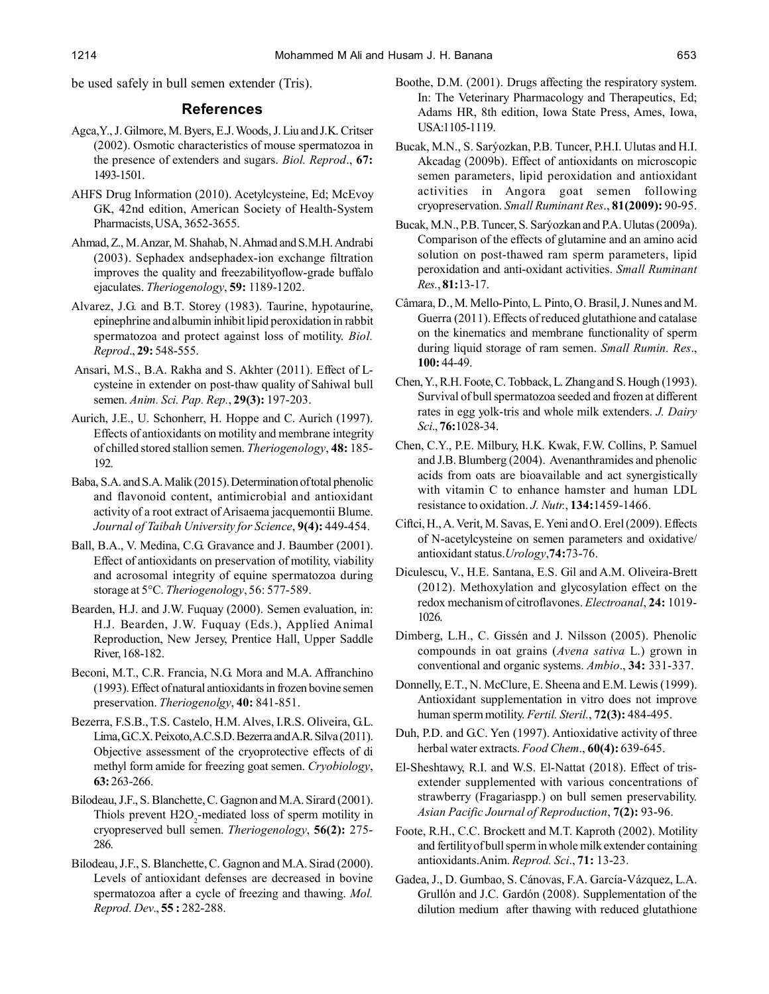be used safely in bull semen extender (Tris).

#### **References**

- Agca,Y., J. Gilmore, M. Byers, E.J. Woods, J. Liu and J.K. Critser (2002). Osmotic characteristics of mouse spermatozoa in the presence of extenders and sugars. *Biol. Reprod*., **67:** 1493-1501.
- AHFS Drug Information (2010). Acetylcysteine, Ed; McEvoy GK, 42nd edition, American Society of Health-System Pharmacists, USA, 3652-3655.
- Ahmad, Z., M. Anzar, M. Shahab, N. Ahmad and S.M.H. Andrabi (2003). Sephadex andsephadex-ion exchange filtration improves the quality and freezabilityoflow-grade buffalo ejaculates. *Theriogenology*, **59:** 1189-1202.
- Alvarez, J.G. and B.T. Storey (1983). Taurine, hypotaurine, epinephrine and albumin inhibit lipid peroxidation in rabbit spermatozoa and protect against loss of motility. *Biol. Reprod*., **29:** 548-555.
- Ansari, M.S., B.A. Rakha and S. Akhter (2011). Effect of Lcysteine in extender on post-thaw quality of Sahiwal bull semen. *Anim. Sci. Pap. Rep.*, **29(3):** 197-203.
- Aurich, J.E., U. Schonherr, H. Hoppe and C. Aurich (1997). Effects of antioxidants on motility and membrane integrity of chilled stored stallion semen. *Theriogenology*, **48:** 185- 192.
- Baba, S.A. and S.A. Malik (2015). Determination of total phenolic and flavonoid content, antimicrobial and antioxidant activity of a root extract of Arisaema jacquemontii Blume. *Journal of Taibah University for Science*, **9(4):** 449-454.
- Ball, B.A., V. Medina, C.G. Gravance and J. Baumber (2001). Effect of antioxidants on preservation of motility, viability and acrosomal integrity of equine spermatozoa during storage at 5°C. *Theriogenology*, 56: 577-589.
- Bearden, H.J. and J.W. Fuquay (2000). Semen evaluation, in: H.J. Bearden, J.W. Fuquay (Eds.), Applied Animal Reproduction, New Jersey, Prentice Hall, Upper Saddle River, 168-182.
- Beconi, M.T., C.R. Francia, N.G. Mora and M.A. Affranchino (1993). Effect of natural antioxidants in frozen bovine semen preservation. *Theriogenolgy*, **40:** 841-851.
- Bezerra, F.S.B., T.S. Castelo, H.M. Alves, I.R.S. Oliveira, G.L. Lima, G.C.X. Peixoto, A.C.S.D. Bezerra and A.R. Silva (2011). Objective assessment of the cryoprotective effects of di methyl form amide for freezing goat semen. *Cryobiology*, **63:** 263-266.
- Bilodeau, J.F., S. Blanchette, C. Gagnon and M.A. Sirard (2001). Thiols prevent  $H2O_2$ -mediated loss of sperm motility in cryopreserved bull semen. *Theriogenology*, **56(2):** 275- 286.
- Bilodeau, J.F., S. Blanchette, C. Gagnon and M.A. Sirad (2000). Levels of antioxidant defenses are decreased in bovine spermatozoa after a cycle of freezing and thawing. *Mol. Reprod. Dev*., **55 :** 282-288.
- Boothe, D.M. (2001). Drugs affecting the respiratory system. In: The Veterinary Pharmacology and Therapeutics, Ed; Adams HR, 8th edition, Iowa State Press, Ames, Iowa, USA:1105-1119.
- Bucak, M.N., S. Sarýozkan, P.B. Tuncer, P.H.I. Ulutas and H.I. Akcadag (2009b). Effect of antioxidants on microscopic semen parameters, lipid peroxidation and antioxidant activities in Angora goat semen following cryopreservation. *Small Ruminant Res*., **81(2009):** 90-95.
- Bucak, M.N., P.B. Tuncer, S. Sarýozkan and P.A. Ulutas (2009a). Comparison of the effects of glutamine and an amino acid solution on post-thawed ram sperm parameters, lipid peroxidation and anti-oxidant activities. *Small Ruminant Res.*, **81:**13-17.
- Câmara, D., M. Mello-Pinto, L. Pinto, O. Brasil, J. Nunes and M. Guerra (2011). Effects of reduced glutathione and catalase on the kinematics and membrane functionality of sperm during liquid storage of ram semen. *Small Rumin. Res*., **100:** 44-49.
- Chen, Y., R.H. Foote, C. Tobback, L. Zhang and S. Hough (1993). Survival of bull spermatozoa seeded and frozen at different rates in egg yolk-tris and whole milk extenders. *J. Dairy Sci*., **76:**1028-34.
- Chen, C.Y., P.E. Milbury, H.K. Kwak, F.W. Collins, P. Samuel and J.B. Blumberg (2004). Avenanthramides and phenolic acids from oats are bioavailable and act synergistically with vitamin C to enhance hamster and human LDL resistance to oxidation. *J. Nutr.*, **134:**1459-1466.
- Ciftci, H., A. Verit, M. Savas, E. Yeni and O. Erel (2009). Effects of N-acetylcysteine on semen parameters and oxidative/ antioxidant status.*Urology*,**74:**73-76.
- Diculescu, V., H.E. Santana, E.S. Gil and A.M. Oliveira-Brett (2012). Methoxylation and glycosylation effect on the redox mechanism of citroflavones. *Electroanal*, **24:** 1019- 1026.
- Dimberg, L.H., C. Gissén and J. Nilsson (2005). Phenolic compounds in oat grains (*Avena sativa* L.) grown in conventional and organic systems. *Ambio*., **34:** 331-337.
- Donnelly, E.T., N. McClure, E. Sheena and E.M. Lewis (1999). Antioxidant supplementation in vitro does not improve human sperm motility. *Fertil. Steril.*, **72(3):** 484-495.
- Duh, P.D. and G.C. Yen (1997). Antioxidative activity of three herbal water extracts. *Food Chem*., **60(4):** 639-645.
- El-Sheshtawy, R.I. and W.S. El-Nattat (2018). Effect of trisextender supplemented with various concentrations of strawberry (Fragariaspp.) on bull semen preservability. *Asian Pacific Journal of Reproduction*, **7(2):** 93-96.
- Foote, R.H., C.C. Brockett and M.T. Kaproth (2002). Motility and fertility of bull sperm in whole milk extender containing antioxidants.Anim. *Reprod. Sci*., **71:** 13-23.
- Gadea, J., D. Gumbao, S. Cánovas, F.A. García-Vázquez, L.A. Grullón and J.C. Gardón (2008). Supplementation of the dilution medium after thawing with reduced glutathione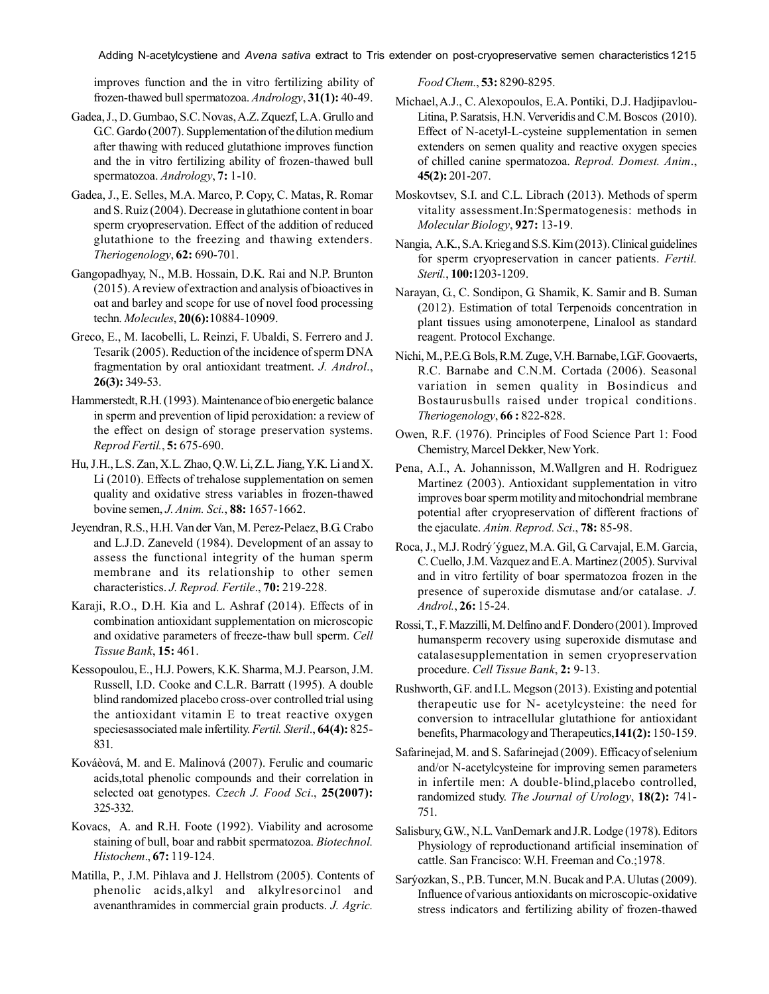Adding N-acetylcystiene and *Avena sativa* extract to Tris extender on post-cryopreservative semen characteristics1215

improves function and the in vitro fertilizing ability of frozen-thawed bull spermatozoa. *Andrology*, **31(1):** 40-49.

- Gadea, J., D. Gumbao, S.C. Novas, A.Z. Zquezf, L.A. Grullo and G.C. Gardo (2007). Supplementation of the dilution medium after thawing with reduced glutathione improves function and the in vitro fertilizing ability of frozen-thawed bull spermatozoa. *Andrology*, **7:** 1-10.
- Gadea, J., E. Selles, M.A. Marco, P. Copy, C. Matas, R. Romar and S. Ruiz (2004). Decrease in glutathione content in boar sperm cryopreservation. Effect of the addition of reduced glutathione to the freezing and thawing extenders. *Theriogenology*, **62:** 690-701.
- Gangopadhyay, N., M.B. Hossain, D.K. Rai and N.P. Brunton (2015). A review of extraction and analysis of bioactives in oat and barley and scope for use of novel food processing techn*. Molecules*, **20(6):**10884-10909.
- Greco, E., M. Iacobelli, L. Reinzi, F. Ubaldi, S. Ferrero and J. Tesarik (2005). Reduction of the incidence of sperm DNA fragmentation by oral antioxidant treatment. *J. Androl*., **26(3):** 349-53.
- Hammerstedt, R.H. (1993). Maintenance of bio energetic balance in sperm and prevention of lipid peroxidation: a review of the effect on design of storage preservation systems. *Reprod Fertil.*, **5:** 675-690.
- Hu, J.H., L.S. Zan, X.L. Zhao, Q.W. Li, Z.L. Jiang, Y.K. Li and X. Li (2010). Effects of trehalose supplementation on semen quality and oxidative stress variables in frozen-thawed bovine semen, *J. Anim. Sci.*, **88:** 1657-1662.
- Jeyendran, R.S., H.H. Van der Van, M. Perez-Pelaez, B.G. Crabo and L.J.D. Zaneveld (1984). Development of an assay to assess the functional integrity of the human sperm membrane and its relationship to other semen characteristics. *J. Reprod. Fertile*., **70:** 219-228.
- Karaji, R.O., D.H. Kia and L. Ashraf (2014). Effects of in combination antioxidant supplementation on microscopic and oxidative parameters of freeze-thaw bull sperm. *Cell Tissue Bank*, **15:** 461.
- Kessopoulou, E., H.J. Powers, K.K. Sharma, M.J. Pearson, J.M. Russell, I.D. Cooke and C.L.R. Barratt (1995). A double blind randomized placebo cross-over controlled trial using the antioxidant vitamin E to treat reactive oxygen speciesassociated male infertility. *Fertil. Steril*., **64(4):** 825- 831.
- Kováèová, M. and E. Malinová (2007). Ferulic and coumaric acids,total phenolic compounds and their correlation in selected oat genotypes. *Czech J. Food Sci*., **25(2007):** 325-332.
- Kovacs, A. and R.H. Foote (1992). Viability and acrosome staining of bull, boar and rabbit spermatozoa. *Biotechnol. Histochem*., **67:** 119-124.
- Matilla, P., J.M. Pihlava and J. Hellstrom (2005). Contents of phenolic acids,alkyl and alkylresorcinol and avenanthramides in commercial grain products. *J. Agric.*

*Food Chem.*, **53:** 8290-8295.

- Michael, A.J., C. Alexopoulos, E.A. Pontiki, D.J. Hadjipavlou-Litina, P. Saratsis, H.N. Ververidis and C.M. Boscos (2010). Effect of N-acetyl-L-cysteine supplementation in semen extenders on semen quality and reactive oxygen species of chilled canine spermatozoa. *Reprod. Domest. Anim*., **45(2):** 201-207.
- Moskovtsev, S.I. and C.L. Librach (2013). Methods of sperm vitality assessment.In:Spermatogenesis: methods in *Molecular Biology*, **927:** 13-19.
- Nangia, A.K., S.A. Krieg and S.S. Kim (2013). Clinical guidelines for sperm cryopreservation in cancer patients. *Fertil. Steril.*, **100:**1203-1209.
- Narayan, G., C. Sondipon, G. Shamik, K. Samir and B. Suman (2012). Estimation of total Terpenoids concentration in plant tissues using amonoterpene, Linalool as standard reagent. Protocol Exchange.
- Nichi, M., P.E.G. Bols, R.M. Zuge, V.H. Barnabe, I.G.F. Goovaerts, R.C. Barnabe and C.N.M. Cortada (2006). Seasonal variation in semen quality in Bosindicus and Bostaurusbulls raised under tropical conditions. *Theriogenology*, **66 :** 822-828.
- Owen, R.F. (1976). Principles of Food Science Part 1: Food Chemistry, Marcel Dekker, New York.
- Pena, A.I., A. Johannisson, M.Wallgren and H. Rodriguez Martinez (2003). Antioxidant supplementation in vitro improves boar sperm motility and mitochondrial membrane potential after cryopreservation of different fractions of the ejaculate. *Anim. Reprod. Sci*., **78:** 85-98.
- Roca, J., M.J. Rodrý´ýguez, M.A. Gil, G. Carvajal, E.M. Garcia, C. Cuello, J.M. Vazquez and E.A. Martinez (2005). Survival and in vitro fertility of boar spermatozoa frozen in the presence of superoxide dismutase and/or catalase. *J. Androl.*, **26:** 15-24.
- Rossi, T., F. Mazzilli, M. Delfino and F. Dondero (2001). Improved humansperm recovery using superoxide dismutase and catalasesupplementation in semen cryopreservation procedure. *Cell Tissue Bank*, **2:** 9-13.
- Rushworth, G.F. and I.L. Megson (2013). Existing and potential therapeutic use for N- acetylcysteine: the need for conversion to intracellular glutathione for antioxidant benefits, Pharmacology and Therapeutics,**141(2):** 150-159.
- Safarinejad, M. and S. Safarinejad (2009). Efficacy of selenium and/or N-acetylcysteine for improving semen parameters in infertile men: A double-blind,placebo controlled, randomized study. *The Journal of Urology*, **18(2):** 741- 751.
- Salisbury, G.W., N.L. VanDemark and J.R. Lodge (1978). Editors Physiology of reproductionand artificial insemination of cattle. San Francisco: W.H. Freeman and Co.;1978.
- Sarýozkan, S., P.B. Tuncer, M.N. Bucak and P.A. Ulutas (2009). Influence of various antioxidants on microscopic-oxidative stress indicators and fertilizing ability of frozen-thawed